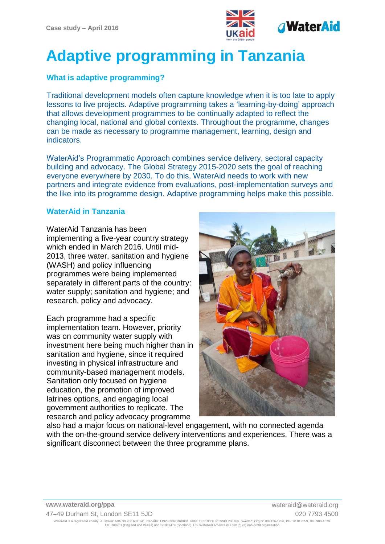

# **Adaptive programming in Tanzania**

# **What is adaptive programming?**

Traditional development models often capture knowledge when it is too late to apply lessons to live projects. Adaptive programming takes a 'learning-by-doing' approach that allows development programmes to be continually adapted to reflect the changing local, national and global contexts. Throughout the programme, changes can be made as necessary to programme management, learning, design and indicators.

WaterAid's Programmatic Approach combines service delivery, sectoral capacity building and advocacy. The Global Strategy 2015-2020 sets the goal of reaching everyone everywhere by 2030. To do this, WaterAid needs to work with new partners and integrate evidence from evaluations, post-implementation surveys and the like into its programme design. Adaptive programming helps make this possible.

# **WaterAid in Tanzania**

WaterAid Tanzania has been implementing a five-year country strategy which ended in March 2016. Until mid-2013, three water, sanitation and hygiene (WASH) and policy influencing programmes were being implemented separately in different parts of the country: water supply; sanitation and hygiene; and research, policy and advocacy.

Each programme had a specific implementation team. However, priority was on community water supply with investment here being much higher than in sanitation and hygiene, since it required investing in physical infrastructure and community-based management models. Sanitation only focused on hygiene education, the promotion of improved latrines options, and engaging local government authorities to replicate. The research and policy advocacy programme



also had a major focus on national-level engagement, with no connected agenda with the on-the-ground service delivery interventions and experiences. There was a significant disconnect between the three programme plans.

**www.wateraid.org/ppa** www.wateraid.org

47–49 Durham St, London SE11 5JD 020 7793 4500

WaterAid is a registered charity: Australia: ABN 99 700 687 141. Canada: 119288934 RR0001. India: U85100DL2010NPL200169. Sweden: Org.nr: 802426-1268, PG: 90 01 62-9, BG: 900-1629. UK: 288701 (England and Wales) and SC039479 (Scotland). US: WaterAid America is a 501(c) (3) non-profit organization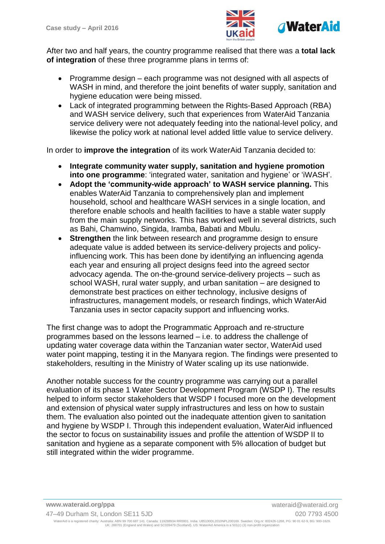

After two and half years, the country programme realised that there was a **total lack of integration** of these three programme plans in terms of:

- Programme design each programme was not designed with all aspects of WASH in mind, and therefore the joint benefits of water supply, sanitation and hygiene education were being missed.
- Lack of integrated programming between the Rights-Based Approach (RBA) and WASH service delivery, such that experiences from WaterAid Tanzania service delivery were not adequately feeding into the national-level policy, and likewise the policy work at national level added little value to service delivery.

In order to **improve the integration** of its work WaterAid Tanzania decided to:

- **Integrate community water supply, sanitation and hygiene promotion into one programme**: 'integrated water, sanitation and hygiene' or 'iWASH'.
- **Adopt the 'community-wide approach' to WASH service planning.** This enables WaterAid Tanzania to comprehensively plan and implement household, school and healthcare WASH services in a single location, and therefore enable schools and health facilities to have a stable water supply from the main supply networks. This has worked well in several districts, such as Bahi, Chamwino, Singida, Iramba, Babati and Mbulu.
- **Strengthen** the link between research and programme design to ensure adequate value is added between its service-delivery projects and policyinfluencing work. This has been done by identifying an influencing agenda each year and ensuring all project designs feed into the agreed sector advocacy agenda. The on-the-ground service-delivery projects – such as school WASH, rural water supply, and urban sanitation – are designed to demonstrate best practices on either technology, inclusive designs of infrastructures, management models, or research findings, which WaterAid Tanzania uses in sector capacity support and influencing works.

The first change was to adopt the Programmatic Approach and re-structure programmes based on the lessons learned – i.e. to address the challenge of updating water coverage data within the Tanzanian water sector, WaterAid used water point mapping, testing it in the Manyara region. The findings were presented to stakeholders, resulting in the Ministry of Water scaling up its use nationwide.

Another notable success for the country programme was carrying out a parallel evaluation of its phase 1 Water Sector Development Program (WSDP I). The results helped to inform sector stakeholders that WSDP I focused more on the development and extension of physical water supply infrastructures and less on how to sustain them. The evaluation also pointed out the inadequate attention given to sanitation and hygiene by WSDP I. Through this independent evaluation, WaterAid influenced the sector to focus on sustainability issues and profile the attention of WSDP II to sanitation and hygiene as a separate component with 5% allocation of budget but still integrated within the wider programme.

**www.wateraid.org/ppa** www.wateraid.org

47–49 Durham St, London SE11 5JD 020 7793 4500

WaterAid is a registered charity: Australia: ABN 99 700 687 141. Canada: 119288934 RR0001. India: U85100DL2010NPL200169. Sweden: Org.nr: 802426-1268, PG: 90 01 62-9, BG: 900-1629. UK: 288701 (England and Wales) and SC039479 (Scotland). US: WaterAid America is a 501(c) (3) non-profit organization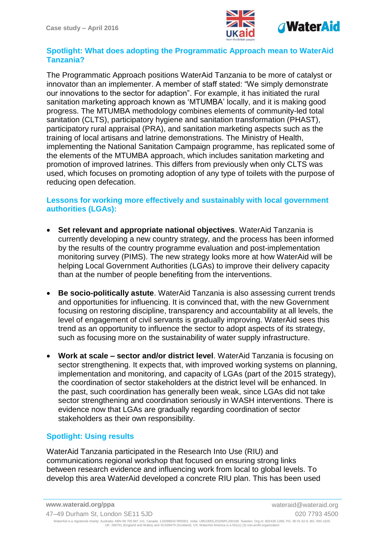

### **Spotlight: What does adopting the Programmatic Approach mean to WaterAid Tanzania?**

The Programmatic Approach positions WaterAid Tanzania to be more of catalyst or innovator than an implementer. A member of staff stated: "We simply demonstrate our innovations to the sector for adaption". For example, it has initiated the rural sanitation marketing approach known as 'MTUMBA' locally, and it is making good progress. The MTUMBA methodology combines elements of community-led total sanitation (CLTS), participatory hygiene and sanitation transformation (PHAST), participatory rural appraisal (PRA), and sanitation marketing aspects such as the training of local artisans and latrine demonstrations. The Ministry of Health, implementing the National Sanitation Campaign programme, has replicated some of the elements of the MTUMBA approach, which includes sanitation marketing and promotion of improved latrines. This differs from previously when only CLTS was used, which focuses on promoting adoption of any type of toilets with the purpose of reducing open defecation.

### **Lessons for working more effectively and sustainably with local government authorities (LGAs):**

- **Set relevant and appropriate national objectives**. WaterAid Tanzania is currently developing a new country strategy, and the process has been informed by the results of the country programme evaluation and post-implementation monitoring survey (PIMS). The new strategy looks more at how WaterAid will be helping Local Government Authorities (LGAs) to improve their delivery capacity than at the number of people benefiting from the interventions.
- **Be socio-politically astute**. WaterAid Tanzania is also assessing current trends and opportunities for influencing. It is convinced that, with the new Government focusing on restoring discipline, transparency and accountability at all levels, the level of engagement of civil servants is gradually improving. WaterAid sees this trend as an opportunity to influence the sector to adopt aspects of its strategy, such as focusing more on the sustainability of water supply infrastructure.
- **Work at scale – sector and/or district level**. WaterAid Tanzania is focusing on sector strengthening. It expects that, with improved working systems on planning, implementation and monitoring, and capacity of LGAs (part of the 2015 strategy), the coordination of sector stakeholders at the district level will be enhanced. In the past, such coordination has generally been weak, since LGAs did not take sector strengthening and coordination seriously in WASH interventions. There is evidence now that LGAs are gradually regarding coordination of sector stakeholders as their own responsibility.

## **Spotlight: Using results**

WaterAid Tanzania participated in the Research Into Use (RIU) and communications regional workshop that focused on ensuring strong links between research evidence and influencing work from local to global levels. To develop this area WaterAid developed a concrete RIU plan. This has been used

47–49 Durham St, London SE11 5JD 020 7793 4500